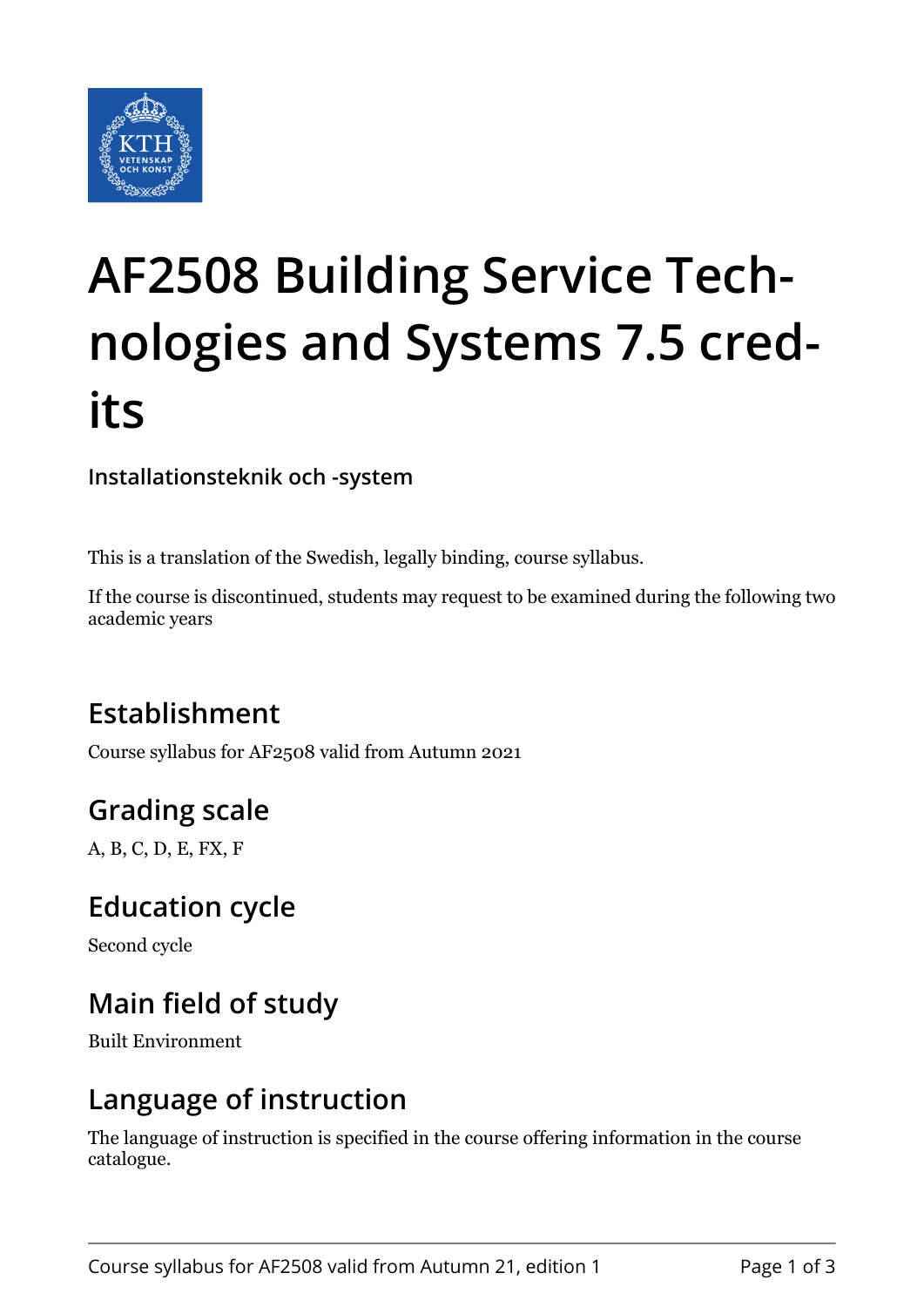

# **AF2508 Building Service Technologies and Systems 7.5 credits**

**Installationsteknik och -system**

This is a translation of the Swedish, legally binding, course syllabus.

If the course is discontinued, students may request to be examined during the following two academic years

## **Establishment**

Course syllabus for AF2508 valid from Autumn 2021

## **Grading scale**

A, B, C, D, E, FX, F

#### **Education cycle**

Second cycle

## **Main field of study**

Built Environment

#### **Language of instruction**

The language of instruction is specified in the course offering information in the course catalogue.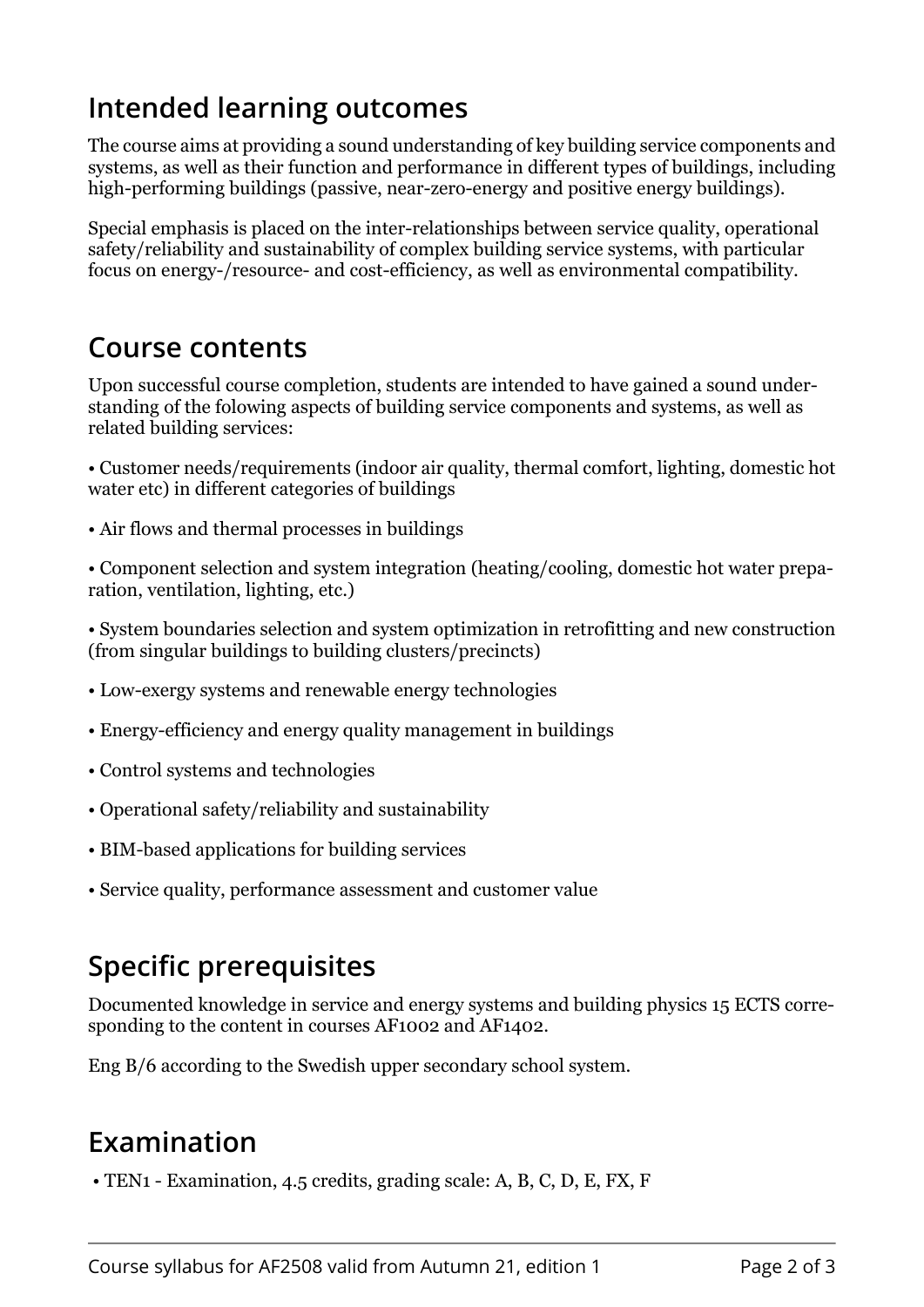## **Intended learning outcomes**

The course aims at providing a sound understanding of key building service components and systems, as well as their function and performance in different types of buildings, including high-performing buildings (passive, near-zero-energy and positive energy buildings).

Special emphasis is placed on the inter-relationships between service quality, operational safety/reliability and sustainability of complex building service systems, with particular focus on energy-/resource- and cost-efficiency, as well as environmental compatibility.

#### **Course contents**

Upon successful course completion, students are intended to have gained a sound understanding of the folowing aspects of building service components and systems, as well as related building services:

• Customer needs/requirements (indoor air quality, thermal comfort, lighting, domestic hot water etc) in different categories of buildings

• Air flows and thermal processes in buildings

• Component selection and system integration (heating/cooling, domestic hot water preparation, ventilation, lighting, etc.)

• System boundaries selection and system optimization in retrofitting and new construction (from singular buildings to building clusters/precincts)

- Low-exergy systems and renewable energy technologies
- Energy-efficiency and energy quality management in buildings
- Control systems and technologies
- Operational safety/reliability and sustainability
- BIM-based applications for building services
- Service quality, performance assessment and customer value

## **Specific prerequisites**

Documented knowledge in service and energy systems and building physics 15 ECTS corresponding to the content in courses AF1002 and AF1402.

Eng B/6 according to the Swedish upper secondary school system.

#### **Examination**

• TEN1 - Examination, 4.5 credits, grading scale: A, B, C, D, E, FX, F